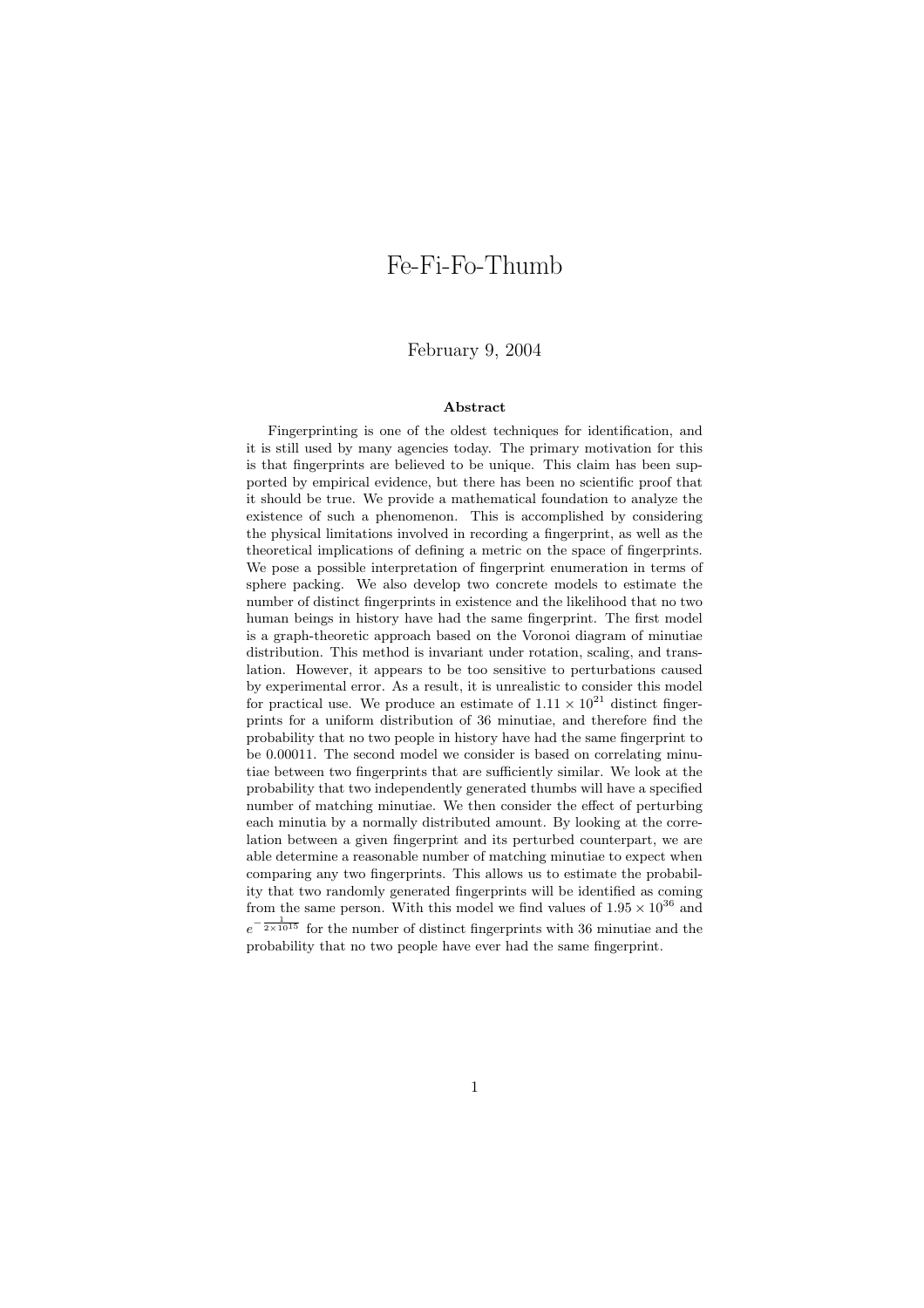# Fe-Fi-Fo-Thumb

### February 9, 2004

#### Abstract

Fingerprinting is one of the oldest techniques for identification, and it is still used by many agencies today. The primary motivation for this is that fingerprints are believed to be unique. This claim has been supported by empirical evidence, but there has been no scientific proof that it should be true. We provide a mathematical foundation to analyze the existence of such a phenomenon. This is accomplished by considering the physical limitations involved in recording a fingerprint, as well as the theoretical implications of defining a metric on the space of fingerprints. We pose a possible interpretation of fingerprint enumeration in terms of sphere packing. We also develop two concrete models to estimate the number of distinct fingerprints in existence and the likelihood that no two human beings in history have had the same fingerprint. The first model is a graph-theoretic approach based on the Voronoi diagram of minutiae distribution. This method is invariant under rotation, scaling, and translation. However, it appears to be too sensitive to perturbations caused by experimental error. As a result, it is unrealistic to consider this model for practical use. We produce an estimate of  $1.11 \times 10^{21}$  distinct fingerprints for a uniform distribution of 36 minutiae, and therefore find the probability that no two people in history have had the same fingerprint to be 0.00011. The second model we consider is based on correlating minutiae between two fingerprints that are sufficiently similar. We look at the probability that two independently generated thumbs will have a specified number of matching minutiae. We then consider the effect of perturbing each minutia by a normally distributed amount. By looking at the correlation between a given fingerprint and its perturbed counterpart, we are able determine a reasonable number of matching minutiae to expect when comparing any two fingerprints. This allows us to estimate the probability that two randomly generated fingerprints will be identified as coming from the same person. With this model we find values of  $1.95 \times 10^{36}$  and  $e^{-\frac{1}{2\times10^{15}}}$  for the number of distinct fingerprints with 36 minutiae and the probability that no two people have ever had the same fingerprint.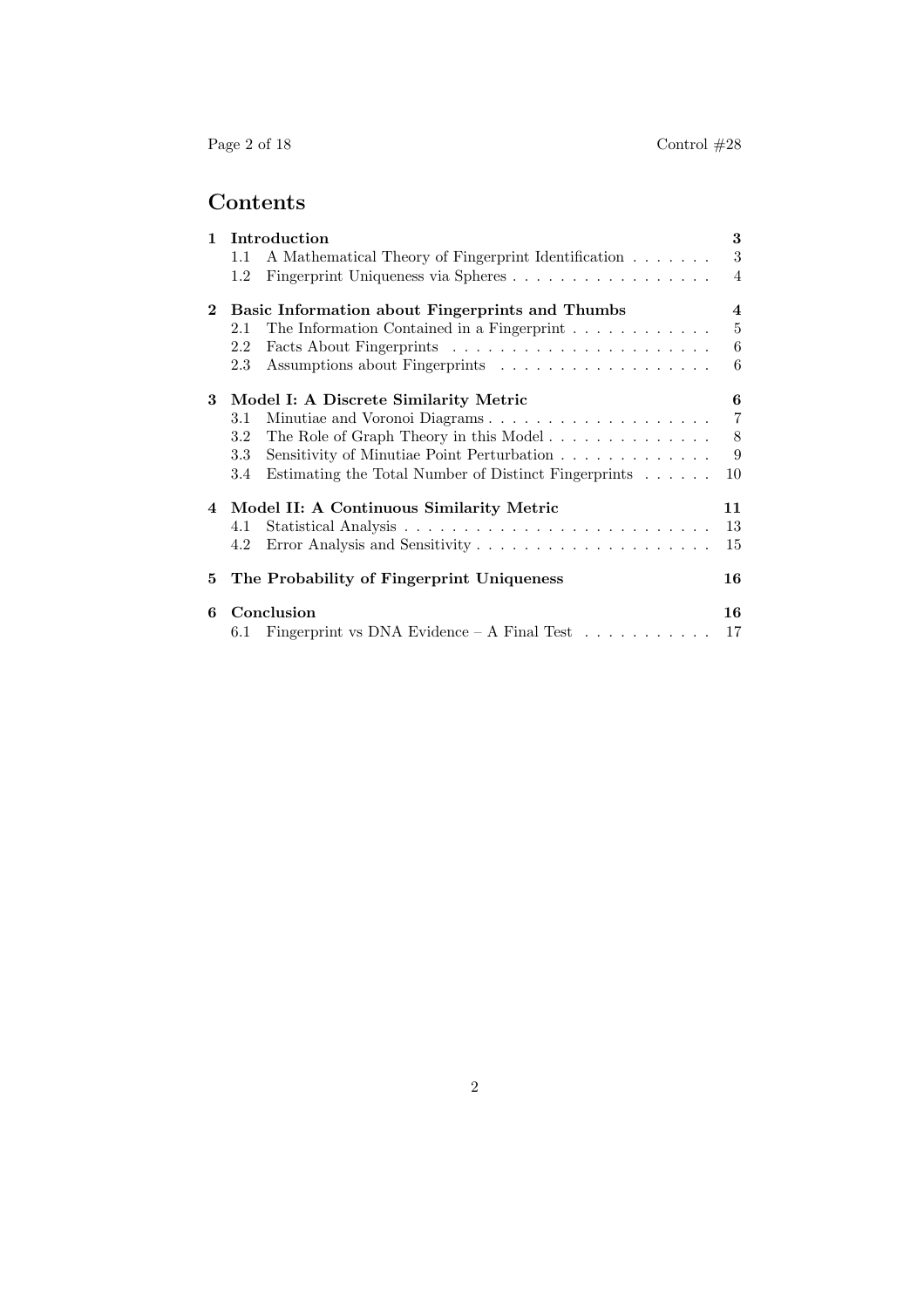# Contents

| $\mathbf{1}$ | Introduction                                    |                                                                          |                |
|--------------|-------------------------------------------------|--------------------------------------------------------------------------|----------------|
|              | 1.1                                             | A Mathematical Theory of Fingerprint Identification                      | 3              |
|              | 1.2                                             | Fingerprint Uniqueness via Spheres                                       | $\overline{4}$ |
| $\mathbf{2}$ | Basic Information about Fingerprints and Thumbs |                                                                          |                |
|              | 2.1                                             | The Information Contained in a Fingerprint $\ldots \ldots \ldots \ldots$ | $\overline{5}$ |
|              | 2.2                                             |                                                                          | 6              |
|              | 2.3                                             |                                                                          | 6              |
| 3            | Model I: A Discrete Similarity Metric           |                                                                          |                |
|              | 3.1                                             | Minutiae and Voronoi Diagrams                                            | $\overline{7}$ |
|              | 3.2                                             |                                                                          | 8              |
|              | 3.3                                             | Sensitivity of Minutiae Point Perturbation                               | 9              |
|              | 3.4                                             | Estimating the Total Number of Distinct Fingerprints                     | 10             |
|              | 4 Model II: A Continuous Similarity Metric      |                                                                          |                |
|              | 4.1                                             |                                                                          | 13             |
|              | 4.2                                             |                                                                          | 15             |
| 5.           |                                                 | The Probability of Fingerprint Uniqueness                                | 16             |
| 6            |                                                 | Conclusion                                                               | 16             |
|              | 6.1                                             | Fingerprint vs DNA Evidence $-$ A Final Test $\dots \dots \dots$         | 17             |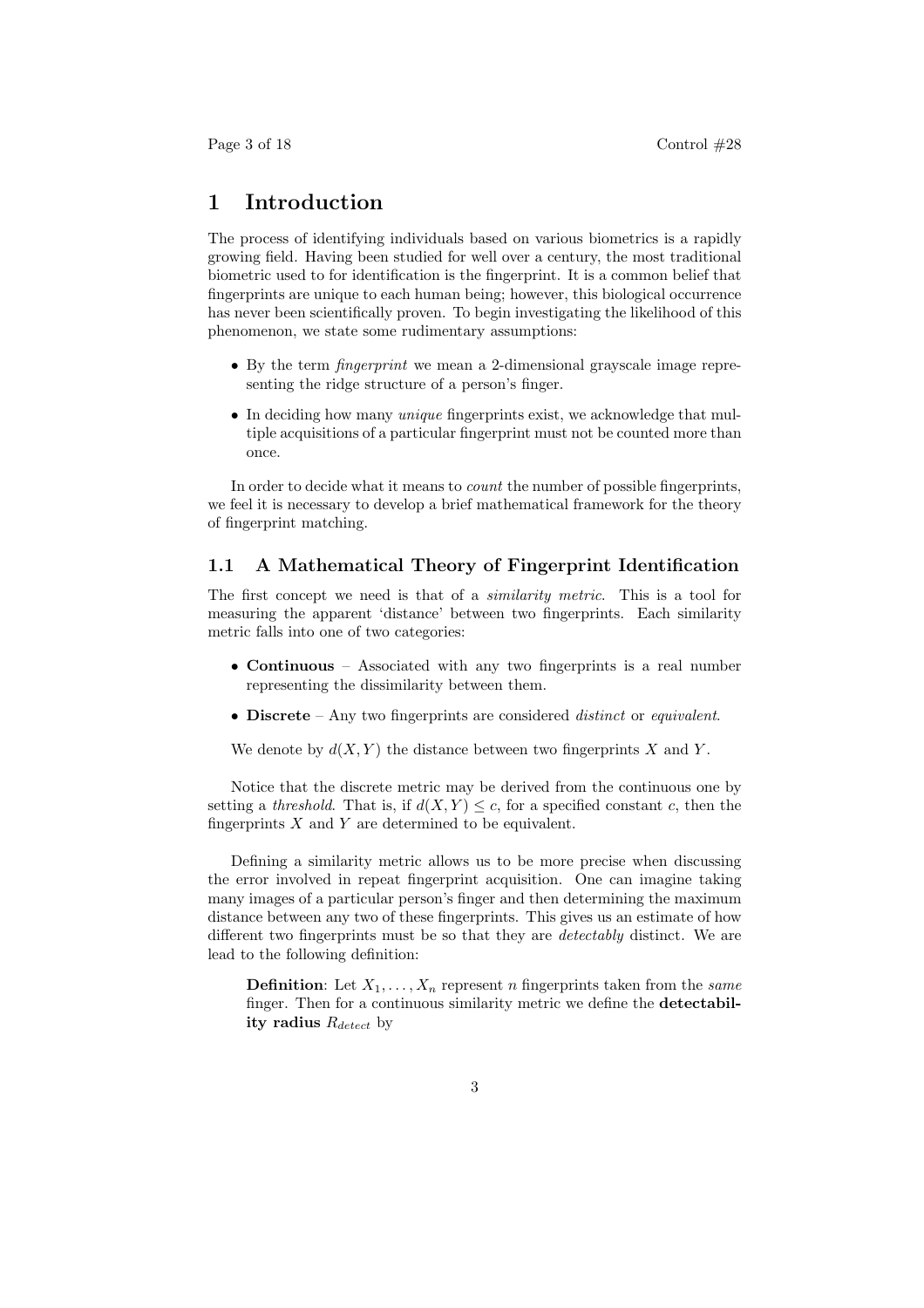## 1 Introduction

The process of identifying individuals based on various biometrics is a rapidly growing field. Having been studied for well over a century, the most traditional biometric used to for identification is the fingerprint. It is a common belief that fingerprints are unique to each human being; however, this biological occurrence has never been scientifically proven. To begin investigating the likelihood of this phenomenon, we state some rudimentary assumptions:

- By the term fingerprint we mean a 2-dimensional grayscale image representing the ridge structure of a person's finger.
- In deciding how many unique fingerprints exist, we acknowledge that multiple acquisitions of a particular fingerprint must not be counted more than once.

In order to decide what it means to count the number of possible fingerprints, we feel it is necessary to develop a brief mathematical framework for the theory of fingerprint matching.

#### 1.1 A Mathematical Theory of Fingerprint Identification

The first concept we need is that of a similarity metric. This is a tool for measuring the apparent 'distance' between two fingerprints. Each similarity metric falls into one of two categories:

- Continuous Associated with any two fingerprints is a real number representing the dissimilarity between them.
- Discrete Any two fingerprints are considered *distinct* or *equivalent*.

We denote by  $d(X, Y)$  the distance between two fingerprints X and Y.

Notice that the discrete metric may be derived from the continuous one by setting a threshold. That is, if  $d(X, Y) \leq c$ , for a specified constant c, then the fingerprints  $X$  and  $Y$  are determined to be equivalent.

Defining a similarity metric allows us to be more precise when discussing the error involved in repeat fingerprint acquisition. One can imagine taking many images of a particular person's finger and then determining the maximum distance between any two of these fingerprints. This gives us an estimate of how different two fingerprints must be so that they are detectably distinct. We are lead to the following definition:

**Definition:** Let  $X_1, \ldots, X_n$  represent n fingerprints taken from the *same* finger. Then for a continuous similarity metric we define the detectability radius  $R_{detect}$  by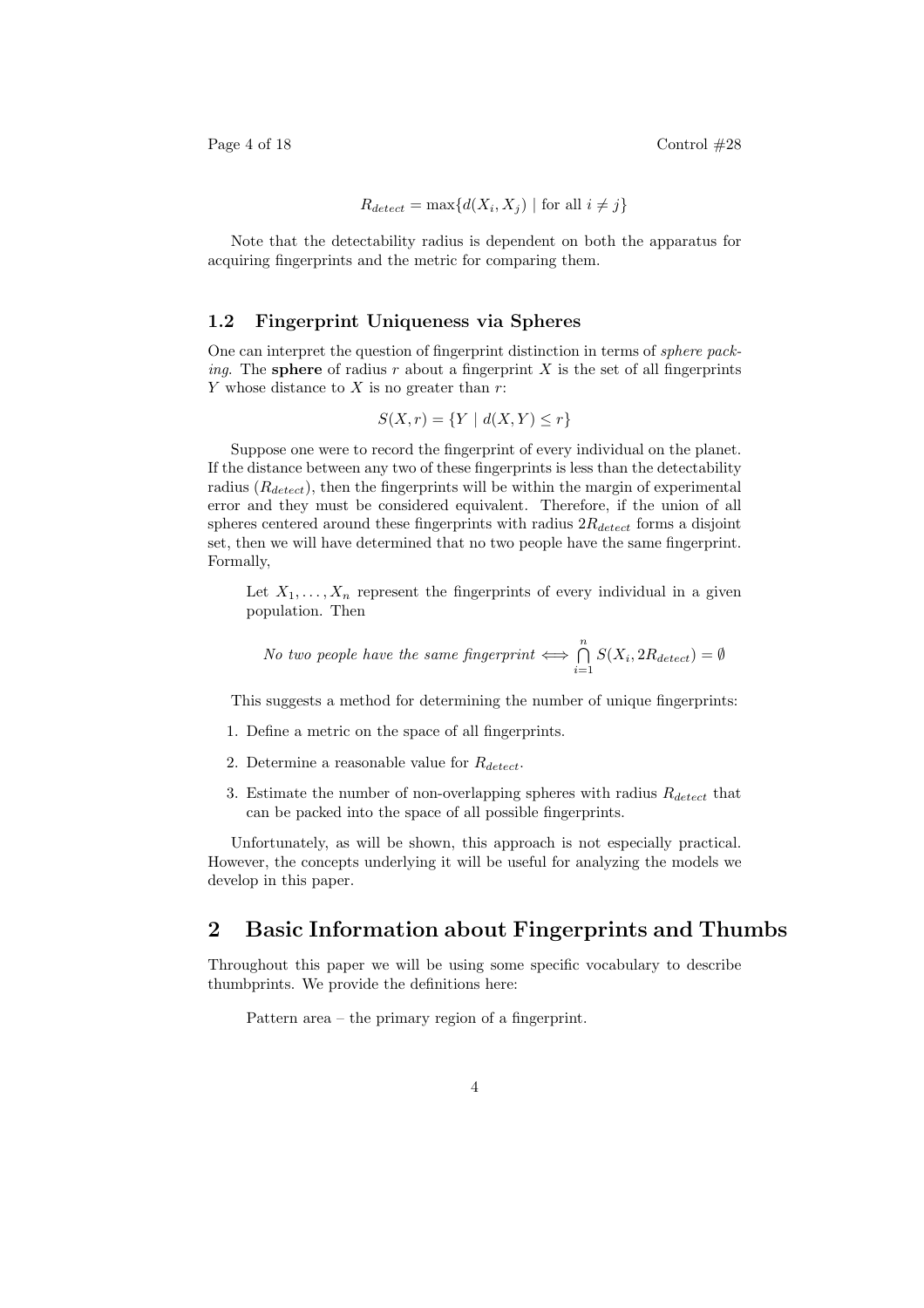Page 4 of 18 Control  $\#28$ 

$$
R_{detect} = \max\{d(X_i, X_j) \mid \text{for all } i \neq j\}
$$

Note that the detectability radius is dependent on both the apparatus for acquiring fingerprints and the metric for comparing them.

#### 1.2 Fingerprint Uniqueness via Spheres

One can interpret the question of fingerprint distinction in terms of sphere pack*ing.* The **sphere** of radius r about a fingerprint X is the set of all fingerprints Y whose distance to X is no greater than  $r$ :

$$
S(X,r) = \{ Y \mid d(X,Y) \le r \}
$$

Suppose one were to record the fingerprint of every individual on the planet. If the distance between any two of these fingerprints is less than the detectability radius  $(R_{detect})$ , then the fingerprints will be within the margin of experimental error and they must be considered equivalent. Therefore, if the union of all spheres centered around these fingerprints with radius  $2R_{detect}$  forms a disjoint set, then we will have determined that no two people have the same fingerprint. Formally,

Let  $X_1, \ldots, X_n$  represent the fingerprints of every individual in a given population. Then

No two people have the same fingerprint 
$$
\iff \bigcap_{i=1}^{n} S(X_i, 2R_{detect}) = \emptyset
$$

This suggests a method for determining the number of unique fingerprints:

- 1. Define a metric on the space of all fingerprints.
- 2. Determine a reasonable value for  $R_{detect}$ .
- 3. Estimate the number of non-overlapping spheres with radius  $R_{detect}$  that can be packed into the space of all possible fingerprints.

Unfortunately, as will be shown, this approach is not especially practical. However, the concepts underlying it will be useful for analyzing the models we develop in this paper.

## 2 Basic Information about Fingerprints and Thumbs

Throughout this paper we will be using some specific vocabulary to describe thumbprints. We provide the definitions here:

Pattern area – the primary region of a fingerprint.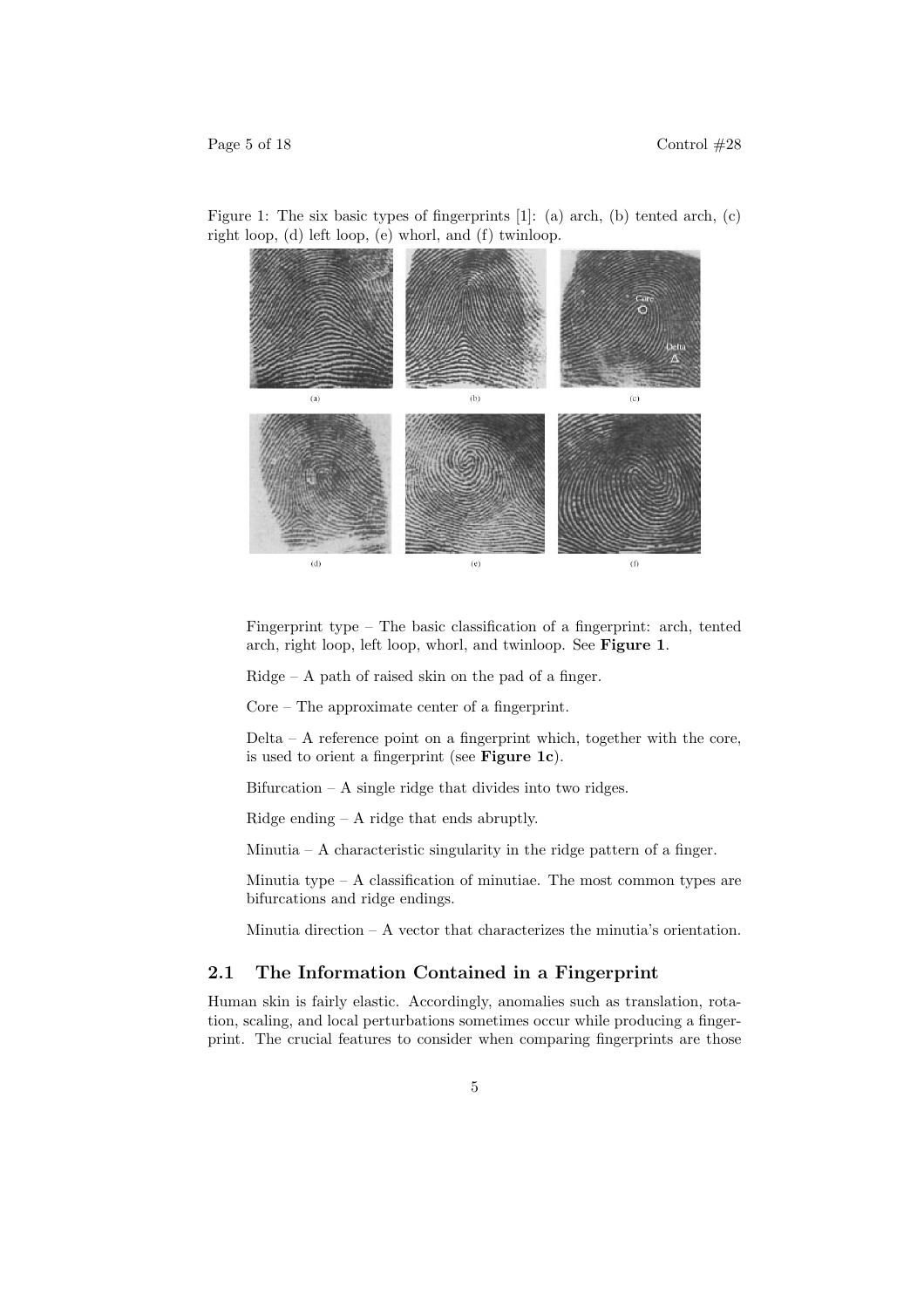

Figure 1: The six basic types of fingerprints [1]: (a) arch, (b) tented arch, (c) right loop, (d) left loop, (e) whorl, and (f) twinloop.

Fingerprint type – The basic classification of a fingerprint: arch, tented arch, right loop, left loop, whorl, and twinloop. See Figure 1.

 $Ridge - A$  path of raised skin on the pad of a finger.

Core – The approximate center of a fingerprint.

Delta – A reference point on a fingerprint which, together with the core, is used to orient a fingerprint (see Figure 1c).

Bifurcation  $- A$  single ridge that divides into two ridges.

Ridge ending – A ridge that ends abruptly.

Minutia – A characteristic singularity in the ridge pattern of a finger.

Minutia type –  $A$  classification of minutiae. The most common types are bifurcations and ridge endings.

Minutia direction – A vector that characterizes the minutia's orientation.

#### 2.1 The Information Contained in a Fingerprint

Human skin is fairly elastic. Accordingly, anomalies such as translation, rotation, scaling, and local perturbations sometimes occur while producing a fingerprint. The crucial features to consider when comparing fingerprints are those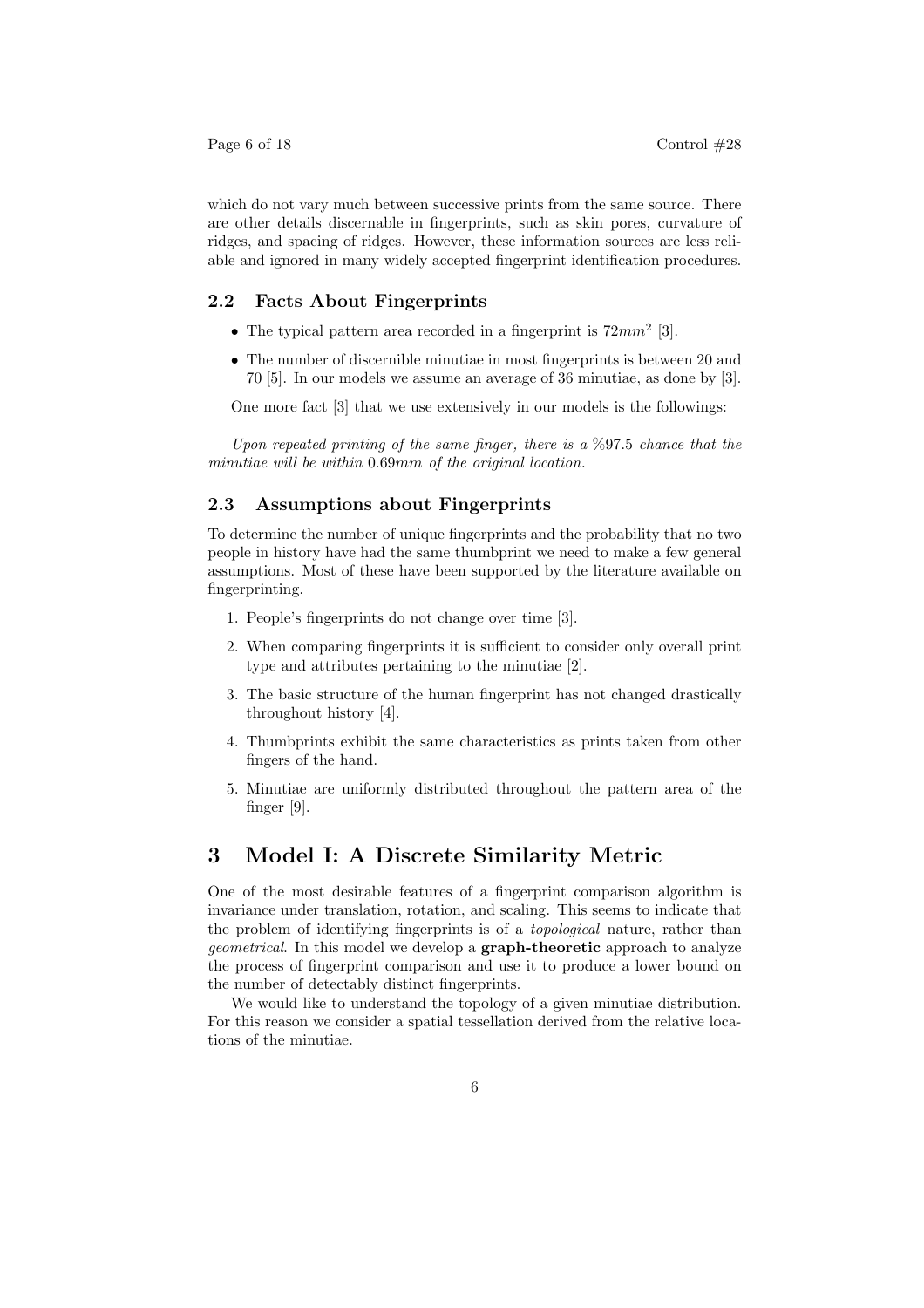which do not vary much between successive prints from the same source. There are other details discernable in fingerprints, such as skin pores, curvature of ridges, and spacing of ridges. However, these information sources are less reliable and ignored in many widely accepted fingerprint identification procedures.

## 2.2 Facts About Fingerprints

- The typical pattern area recorded in a fingerprint is  $72mm^2$  [3].
- The number of discernible minutiae in most fingerprints is between 20 and 70 [5]. In our models we assume an average of 36 minutiae, as done by [3].

One more fact [3] that we use extensively in our models is the followings:

Upon repeated printing of the same finger, there is a  $\%97.5$  chance that the minutiae will be within 0.69mm of the original location.

#### 2.3 Assumptions about Fingerprints

To determine the number of unique fingerprints and the probability that no two people in history have had the same thumbprint we need to make a few general assumptions. Most of these have been supported by the literature available on fingerprinting.

- 1. People's fingerprints do not change over time [3].
- 2. When comparing fingerprints it is sufficient to consider only overall print type and attributes pertaining to the minutiae [2].
- 3. The basic structure of the human fingerprint has not changed drastically throughout history [4].
- 4. Thumbprints exhibit the same characteristics as prints taken from other fingers of the hand.
- 5. Minutiae are uniformly distributed throughout the pattern area of the finger [9].

## 3 Model I: A Discrete Similarity Metric

One of the most desirable features of a fingerprint comparison algorithm is invariance under translation, rotation, and scaling. This seems to indicate that the problem of identifying fingerprints is of a topological nature, rather than geometrical. In this model we develop a graph-theoretic approach to analyze the process of fingerprint comparison and use it to produce a lower bound on the number of detectably distinct fingerprints.

We would like to understand the topology of a given minutiae distribution. For this reason we consider a spatial tessellation derived from the relative locations of the minutiae.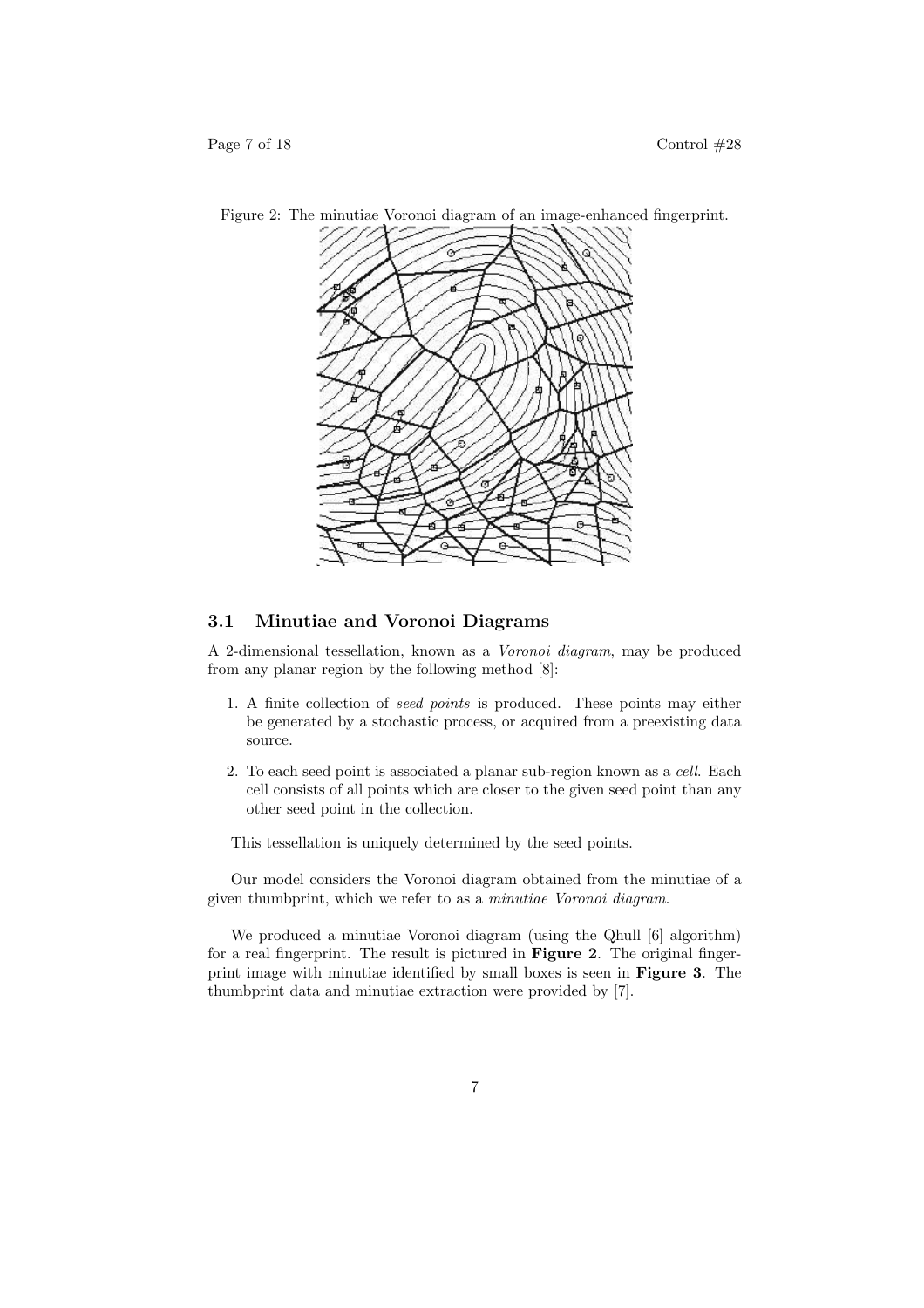

Figure 2: The minutiae Voronoi diagram of an image-enhanced fingerprint.

### 3.1 Minutiae and Voronoi Diagrams

A 2-dimensional tessellation, known as a Voronoi diagram, may be produced from any planar region by the following method [8]:

- 1. A finite collection of seed points is produced. These points may either be generated by a stochastic process, or acquired from a preexisting data source.
- 2. To each seed point is associated a planar sub-region known as a cell. Each cell consists of all points which are closer to the given seed point than any other seed point in the collection.

This tessellation is uniquely determined by the seed points.

Our model considers the Voronoi diagram obtained from the minutiae of a given thumbprint, which we refer to as a minutiae Voronoi diagram.

We produced a minutiae Voronoi diagram (using the Qhull [6] algorithm) for a real fingerprint. The result is pictured in Figure 2. The original fingerprint image with minutiae identified by small boxes is seen in Figure 3. The thumbprint data and minutiae extraction were provided by [7].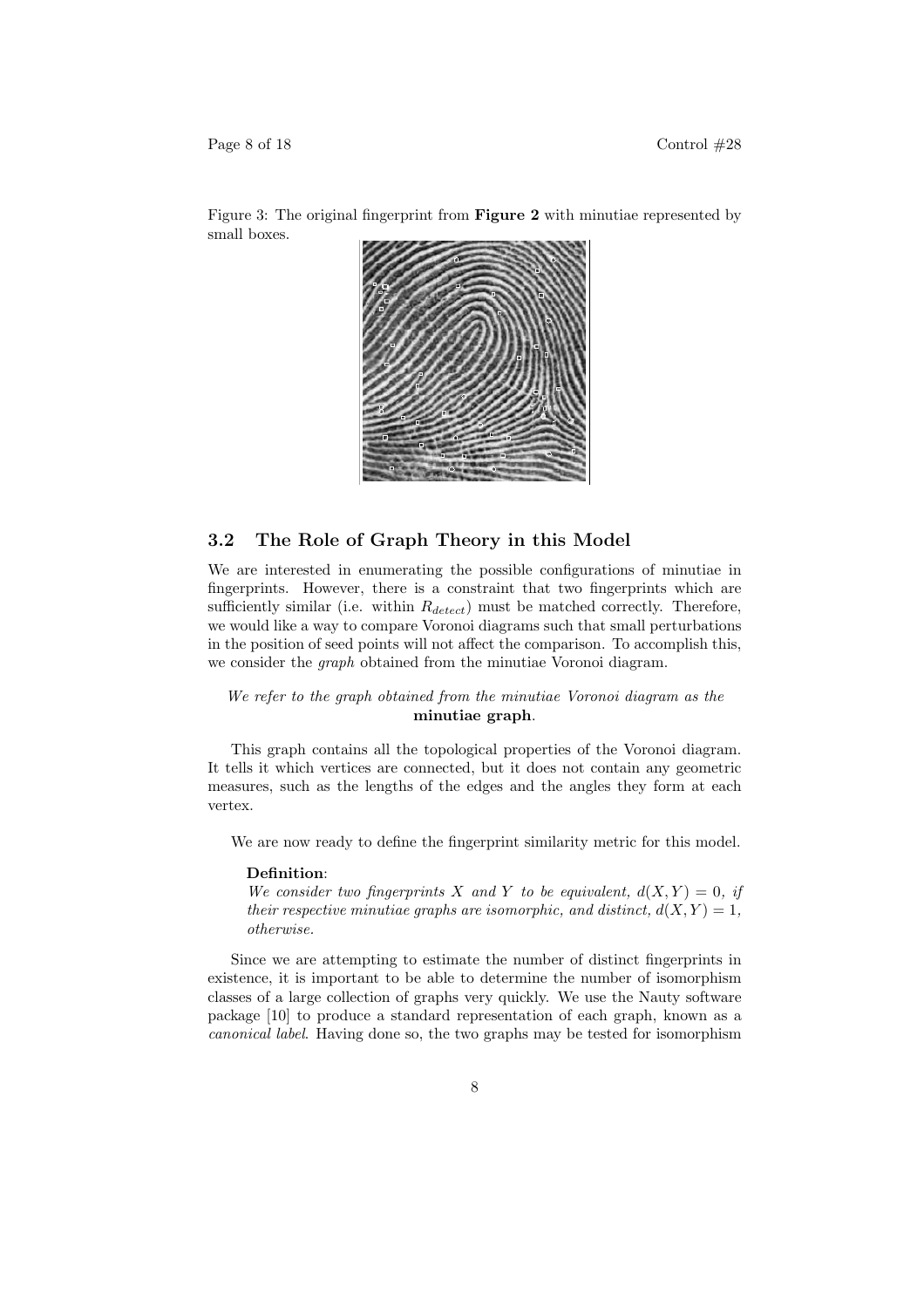

Figure 3: The original fingerprint from Figure 2 with minutiae represented by small boxes.

## 3.2 The Role of Graph Theory in this Model

We are interested in enumerating the possible configurations of minutiae in fingerprints. However, there is a constraint that two fingerprints which are sufficiently similar (i.e. within  $R_{detect}$ ) must be matched correctly. Therefore, we would like a way to compare Voronoi diagrams such that small perturbations in the position of seed points will not affect the comparison. To accomplish this, we consider the graph obtained from the minutiae Voronoi diagram.

We refer to the graph obtained from the minutiae Voronoi diagram as the minutiae graph.

This graph contains all the topological properties of the Voronoi diagram. It tells it which vertices are connected, but it does not contain any geometric measures, such as the lengths of the edges and the angles they form at each vertex.

We are now ready to define the fingerprint similarity metric for this model.

#### Definition:

We consider two fingerprints X and Y to be equivalent,  $d(X, Y) = 0$ , if their respective minutiae graphs are isomorphic, and distinct,  $d(X, Y) = 1$ , otherwise.

Since we are attempting to estimate the number of distinct fingerprints in existence, it is important to be able to determine the number of isomorphism classes of a large collection of graphs very quickly. We use the Nauty software package [10] to produce a standard representation of each graph, known as a canonical label. Having done so, the two graphs may be tested for isomorphism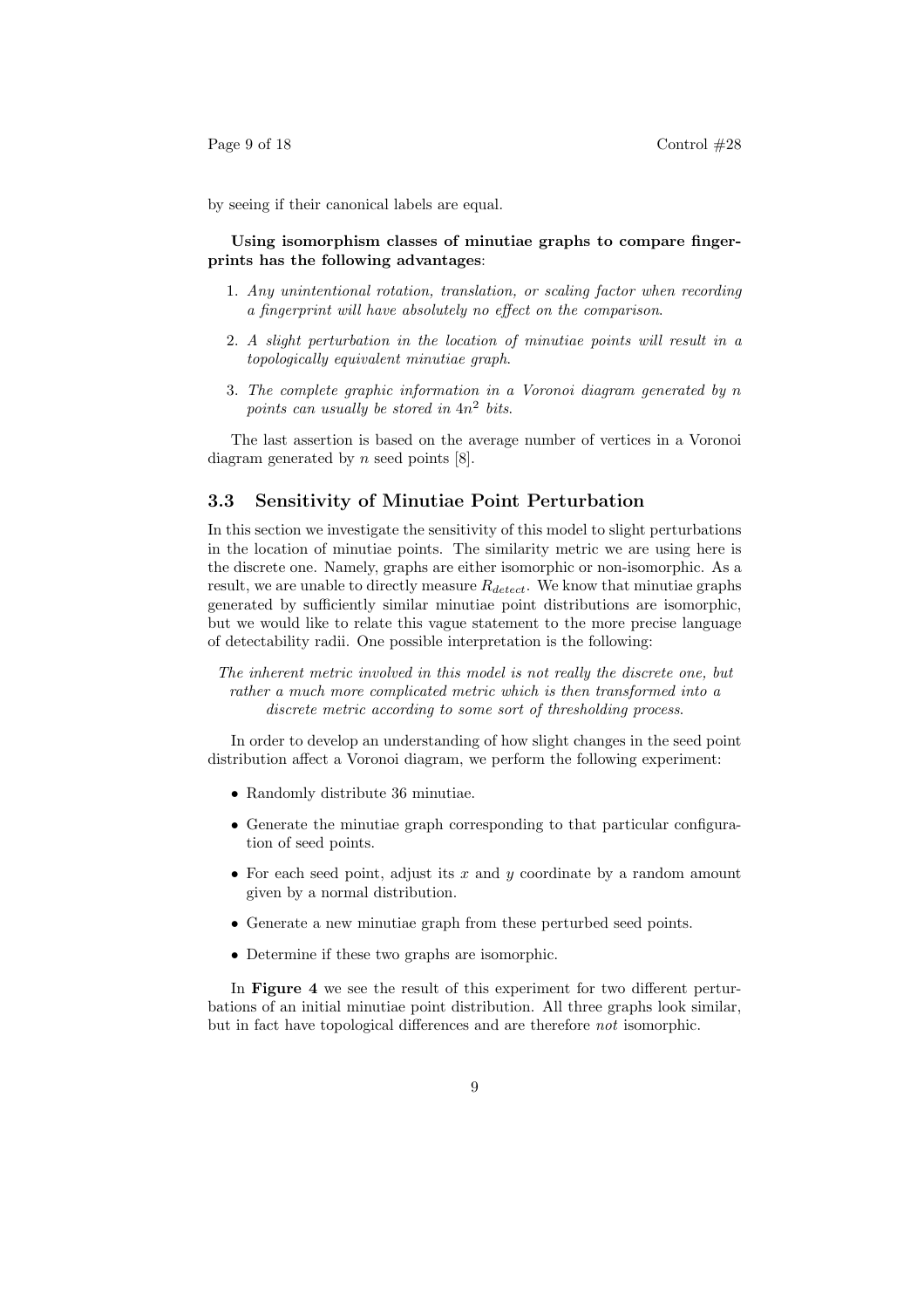by seeing if their canonical labels are equal.

#### Using isomorphism classes of minutiae graphs to compare fingerprints has the following advantages:

- 1. Any unintentional rotation, translation, or scaling factor when recording a fingerprint will have absolutely no effect on the comparison.
- 2. A slight perturbation in the location of minutiae points will result in a topologically equivalent minutiae graph.
- 3. The complete graphic information in a Voronoi diagram generated by n points can usually be stored in  $4n^2$  bits.

The last assertion is based on the average number of vertices in a Voronoi diagram generated by  $n$  seed points  $[8]$ .

## 3.3 Sensitivity of Minutiae Point Perturbation

In this section we investigate the sensitivity of this model to slight perturbations in the location of minutiae points. The similarity metric we are using here is the discrete one. Namely, graphs are either isomorphic or non-isomorphic. As a result, we are unable to directly measure  $R_{detect}$ . We know that minutiae graphs generated by sufficiently similar minutiae point distributions are isomorphic, but we would like to relate this vague statement to the more precise language of detectability radii. One possible interpretation is the following:

The inherent metric involved in this model is not really the discrete one, but rather a much more complicated metric which is then transformed into a discrete metric according to some sort of thresholding process.

In order to develop an understanding of how slight changes in the seed point distribution affect a Voronoi diagram, we perform the following experiment:

- Randomly distribute 36 minutiae.
- Generate the minutiae graph corresponding to that particular configuration of seed points.
- For each seed point, adjust its  $x$  and  $y$  coordinate by a random amount given by a normal distribution.
- Generate a new minutiae graph from these perturbed seed points.
- Determine if these two graphs are isomorphic.

In Figure 4 we see the result of this experiment for two different perturbations of an initial minutiae point distribution. All three graphs look similar, but in fact have topological differences and are therefore not isomorphic.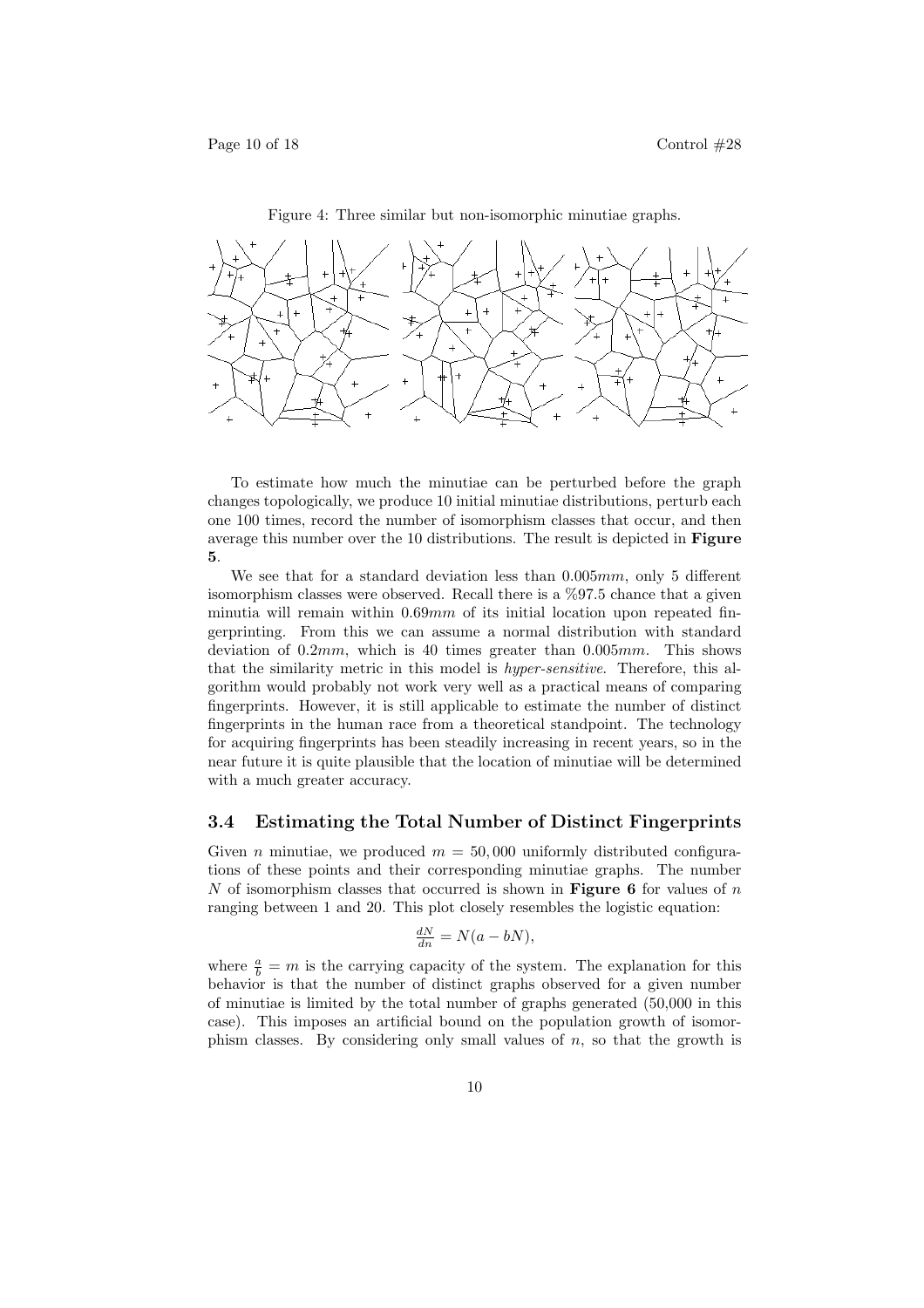

Figure 4: Three similar but non-isomorphic minutiae graphs.

To estimate how much the minutiae can be perturbed before the graph changes topologically, we produce 10 initial minutiae distributions, perturb each one 100 times, record the number of isomorphism classes that occur, and then average this number over the 10 distributions. The result is depicted in Figure 5.

We see that for a standard deviation less than  $0.005mm$ , only 5 different isomorphism classes were observed. Recall there is a %97.5 chance that a given minutia will remain within  $0.69mm$  of its initial location upon repeated fingerprinting. From this we can assume a normal distribution with standard deviation of  $0.2mm$ , which is 40 times greater than  $0.005mm$ . This shows that the similarity metric in this model is hyper-sensitive. Therefore, this algorithm would probably not work very well as a practical means of comparing fingerprints. However, it is still applicable to estimate the number of distinct fingerprints in the human race from a theoretical standpoint. The technology for acquiring fingerprints has been steadily increasing in recent years, so in the near future it is quite plausible that the location of minutiae will be determined with a much greater accuracy.

#### 3.4 Estimating the Total Number of Distinct Fingerprints

Given *n* minutiae, we produced  $m = 50,000$  uniformly distributed configurations of these points and their corresponding minutiae graphs. The number N of isomorphism classes that occurred is shown in **Figure 6** for values of n ranging between 1 and 20. This plot closely resembles the logistic equation:

$$
\frac{dN}{dn} = N(a - bN),
$$

where  $\frac{a}{b} = m$  is the carrying capacity of the system. The explanation for this behavior is that the number of distinct graphs observed for a given number of minutiae is limited by the total number of graphs generated (50,000 in this case). This imposes an artificial bound on the population growth of isomorphism classes. By considering only small values of  $n$ , so that the growth is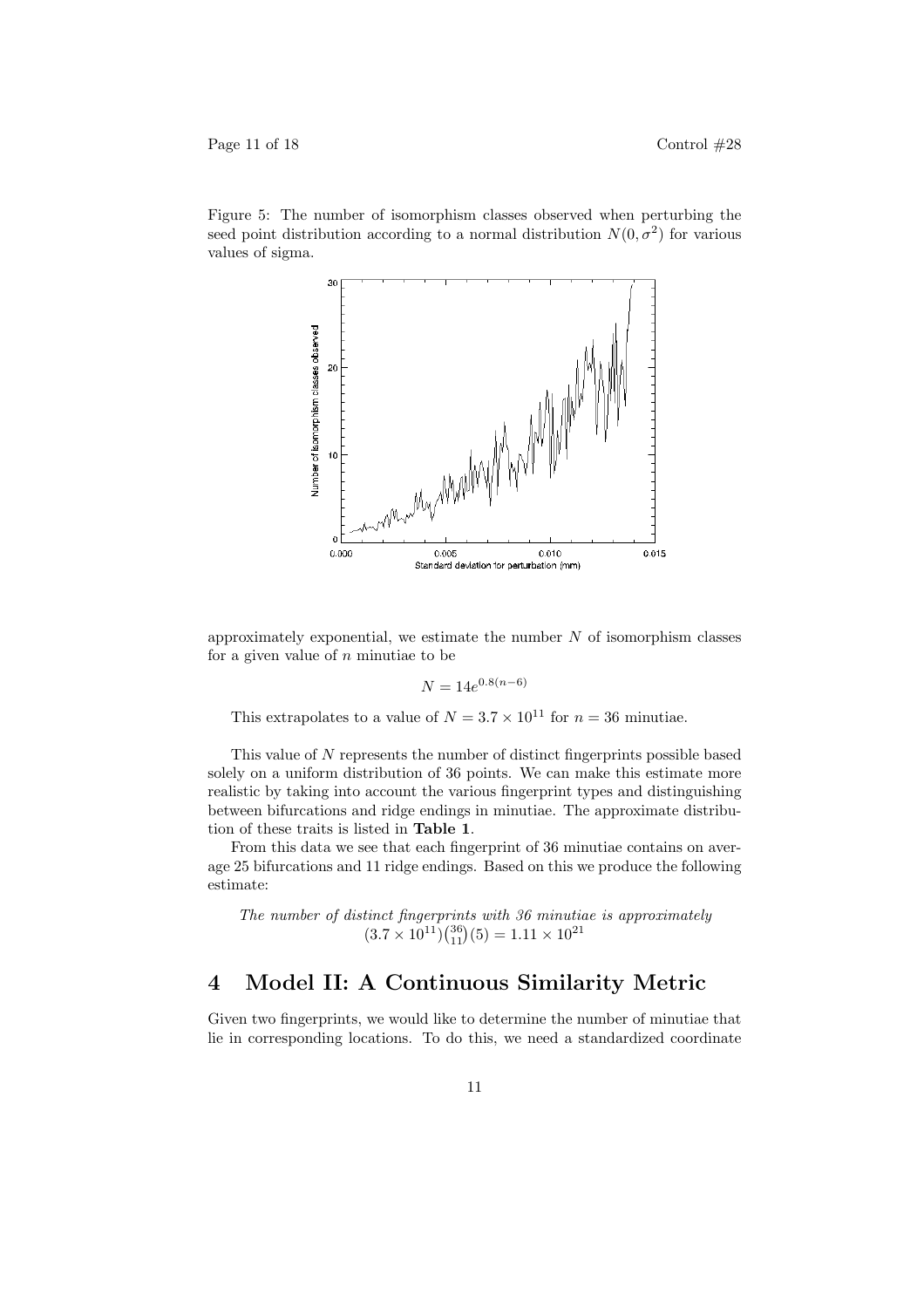Page 11 of 18 Control  $\#28$ 

Figure 5: The number of isomorphism classes observed when perturbing the seed point distribution according to a normal distribution  $N(0, \sigma^2)$  for various values of sigma.



approximately exponential, we estimate the number  $N$  of isomorphism classes for a given value of  $n$  minutiae to be

$$
N = 14e^{0.8(n-6)}
$$

This extrapolates to a value of  $N = 3.7 \times 10^{11}$  for  $n = 36$  minutiae.

This value of  $N$  represents the number of distinct fingerprints possible based solely on a uniform distribution of 36 points. We can make this estimate more realistic by taking into account the various fingerprint types and distinguishing between bifurcations and ridge endings in minutiae. The approximate distribution of these traits is listed in Table 1.

From this data we see that each fingerprint of 36 minutiae contains on average 25 bifurcations and 11 ridge endings. Based on this we produce the following estimate:

The number of distinct fingerprints with 36 minutiae is approximately  $\frac{1}{(3.7 \times 10^{11})} \binom{36}{11}(5) = 1.11 \times 10^{21}$ 

## 4 Model II: A Continuous Similarity Metric

Given two fingerprints, we would like to determine the number of minutiae that lie in corresponding locations. To do this, we need a standardized coordinate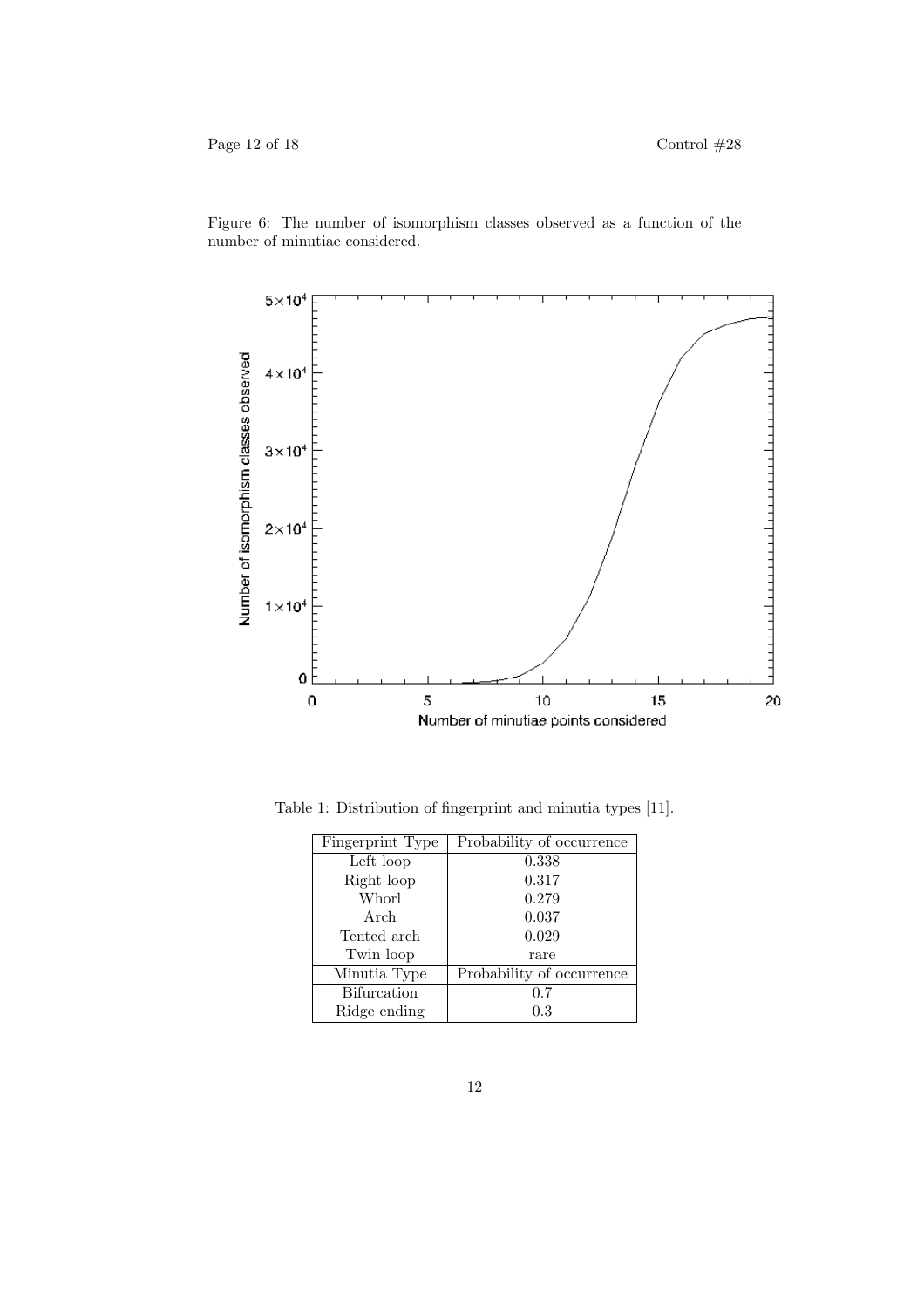Figure 6: The number of isomorphism classes observed as a function of the number of minutiae considered.



Table 1: Distribution of fingerprint and minutia types [11].

| Fingerprint Type   | Probability of occurrence |
|--------------------|---------------------------|
| Left loop          | 0.338                     |
| Right loop         | 0.317                     |
| Whorl              | 0.279                     |
| Arch               | 0.037                     |
| Tented arch        | 0.029                     |
| Twin loop          | rare                      |
| Minutia Type       | Probability of occurrence |
| <b>Bifurcation</b> | 0.7                       |
| Ridge ending       | $\rm 0.3$                 |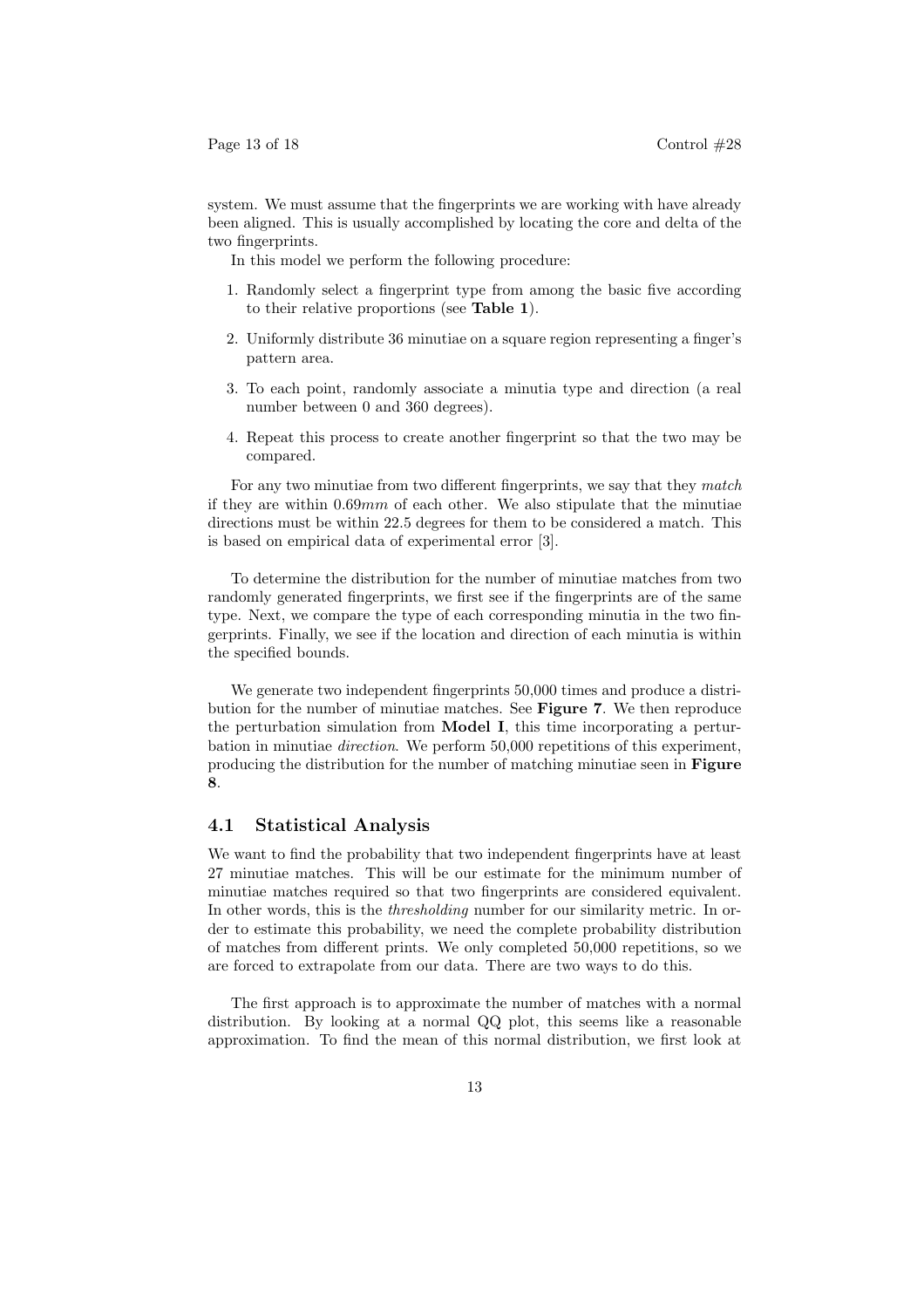system. We must assume that the fingerprints we are working with have already been aligned. This is usually accomplished by locating the core and delta of the two fingerprints.

In this model we perform the following procedure:

- 1. Randomly select a fingerprint type from among the basic five according to their relative proportions (see Table 1).
- 2. Uniformly distribute 36 minutiae on a square region representing a finger's pattern area.
- 3. To each point, randomly associate a minutia type and direction (a real number between 0 and 360 degrees).
- 4. Repeat this process to create another fingerprint so that the two may be compared.

For any two minutiae from two different fingerprints, we say that they match if they are within  $0.69mm$  of each other. We also stipulate that the minutiae directions must be within 22.5 degrees for them to be considered a match. This is based on empirical data of experimental error [3].

To determine the distribution for the number of minutiae matches from two randomly generated fingerprints, we first see if the fingerprints are of the same type. Next, we compare the type of each corresponding minutia in the two fingerprints. Finally, we see if the location and direction of each minutia is within the specified bounds.

We generate two independent fingerprints 50,000 times and produce a distribution for the number of minutiae matches. See Figure 7. We then reproduce the perturbation simulation from Model I, this time incorporating a perturbation in minutiae direction. We perform 50,000 repetitions of this experiment, producing the distribution for the number of matching minutiae seen in Figure 8.

#### 4.1 Statistical Analysis

We want to find the probability that two independent fingerprints have at least 27 minutiae matches. This will be our estimate for the minimum number of minutiae matches required so that two fingerprints are considered equivalent. In other words, this is the thresholding number for our similarity metric. In order to estimate this probability, we need the complete probability distribution of matches from different prints. We only completed 50,000 repetitions, so we are forced to extrapolate from our data. There are two ways to do this.

The first approach is to approximate the number of matches with a normal distribution. By looking at a normal QQ plot, this seems like a reasonable approximation. To find the mean of this normal distribution, we first look at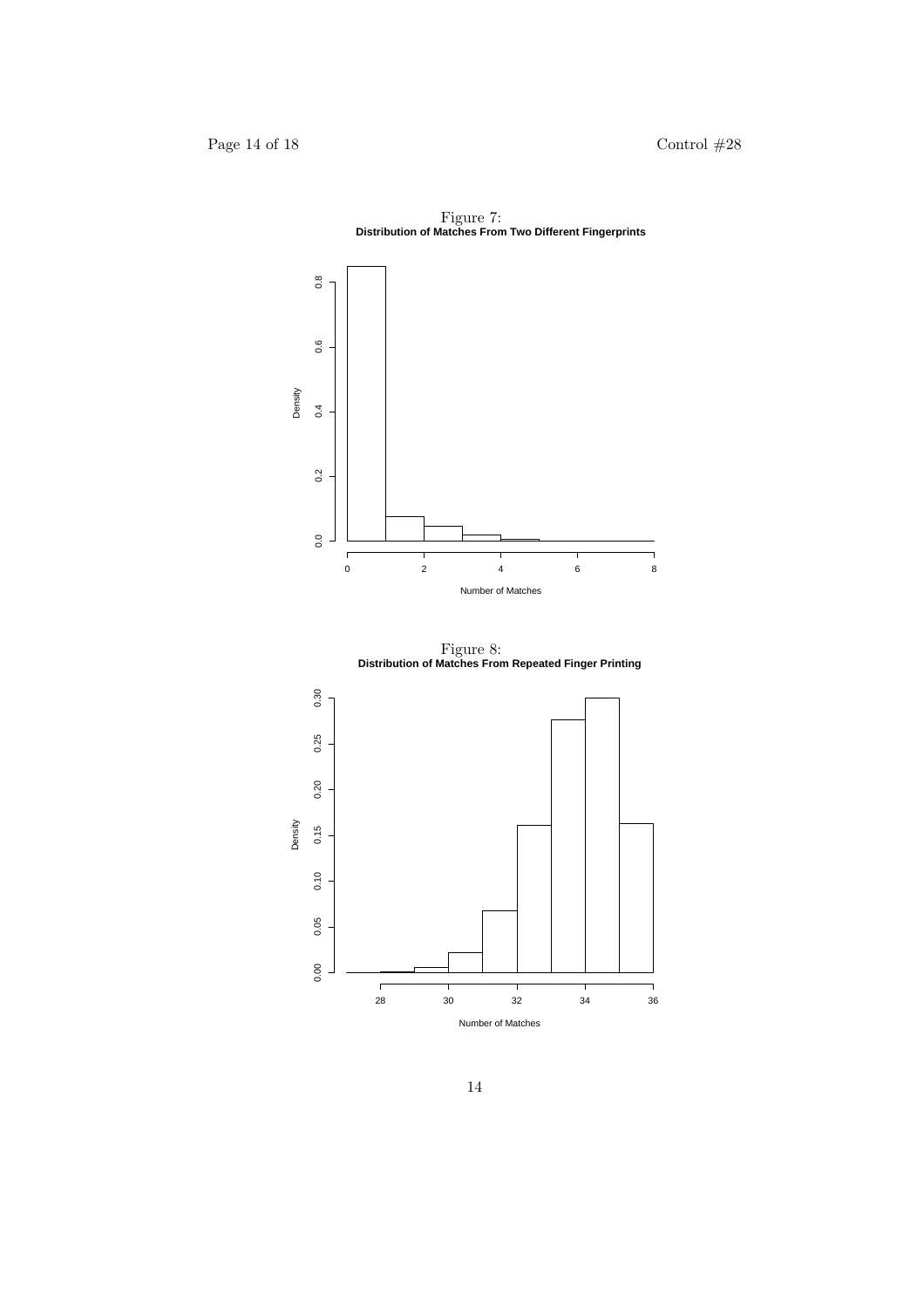

Figure 7: **Distribution of Matches From Two Different Fingerprints**

Figure 8: **Distribution of Matches From Repeated Finger Printing**

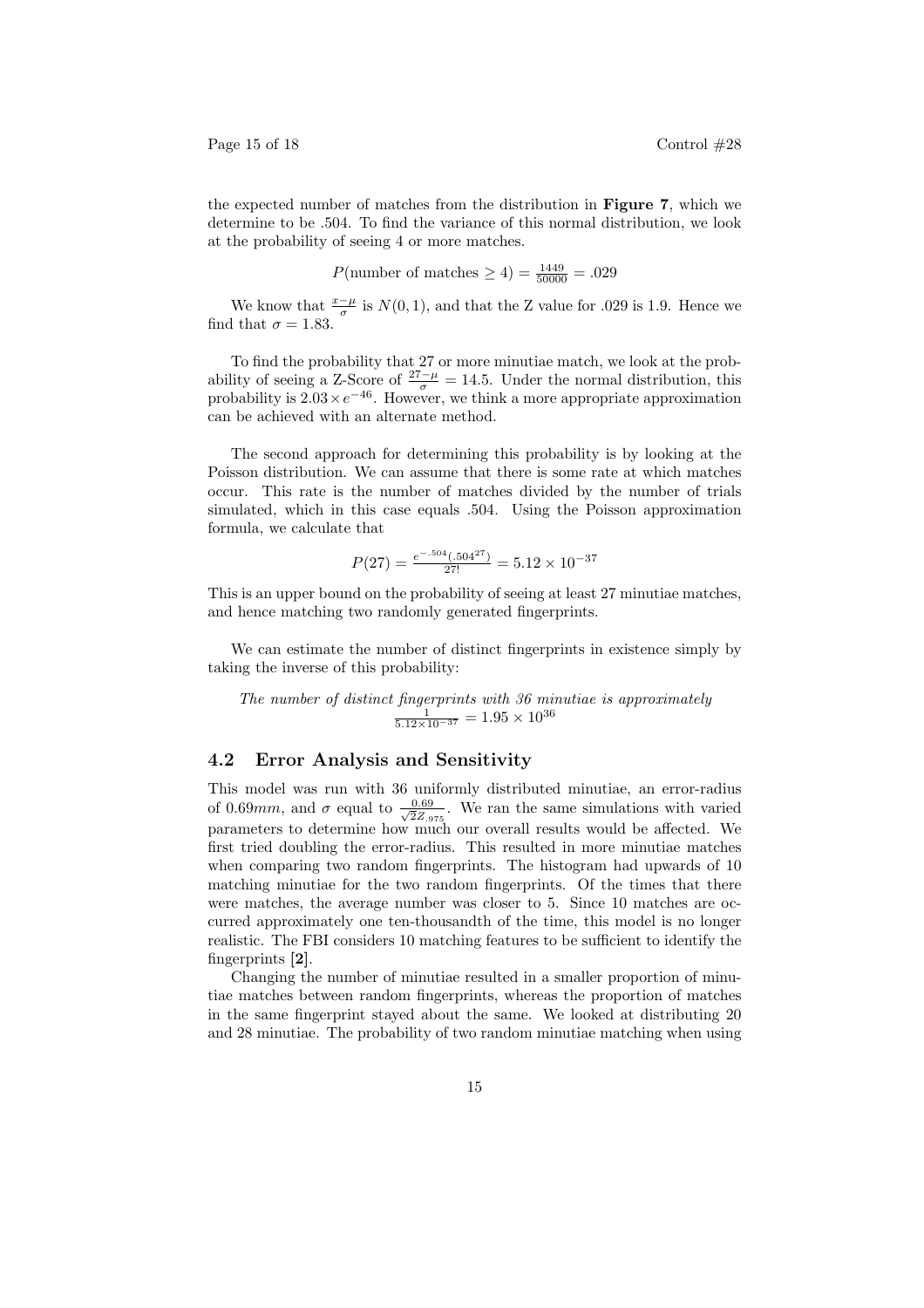the expected number of matches from the distribution in Figure 7, which we determine to be .504. To find the variance of this normal distribution, we look at the probability of seeing 4 or more matches.

$$
P(\text{number of matches} \ge 4) = \frac{1449}{50000} = .029
$$

We know that  $\frac{x-\mu}{\sigma}$  is  $N(0, 1)$ , and that the Z value for .029 is 1.9. Hence we find that  $\sigma = 1.83$ .

To find the probability that 27 or more minutiae match, we look at the probability of seeing a Z-Score of  $\frac{27-\mu}{\sigma} = 14.5$ . Under the normal distribution, this probability is  $2.03 \times e^{-46}$ . However, we think a more appropriate approximation can be achieved with an alternate method.

The second approach for determining this probability is by looking at the Poisson distribution. We can assume that there is some rate at which matches occur. This rate is the number of matches divided by the number of trials simulated, which in this case equals .504. Using the Poisson approximation formula, we calculate that

$$
P(27) = \frac{e^{-0.504} (0.504^{27})}{27!} = 5.12 \times 10^{-37}
$$

This is an upper bound on the probability of seeing at least 27 minutiae matches, and hence matching two randomly generated fingerprints.

We can estimate the number of distinct fingerprints in existence simply by taking the inverse of this probability:

The number of distinct fingerprints with 36 minutiae is approximately<br> $\frac{1}{5.12 \times 10^{-37}} = 1.95 \times 10^{36}$ 

### 4.2 Error Analysis and Sensitivity

This model was run with 36 uniformly distributed minutiae, an error-radius of 0.69mm, and  $\sigma$  equal to  $\frac{0.69}{\sqrt{27}}$  $\frac{0.69}{2Z_{.975}}$ . We ran the same simulations with varied parameters to determine how much our overall results would be affected. We first tried doubling the error-radius. This resulted in more minutiae matches when comparing two random fingerprints. The histogram had upwards of 10 matching minutiae for the two random fingerprints. Of the times that there were matches, the average number was closer to 5. Since 10 matches are occurred approximately one ten-thousandth of the time, this model is no longer realistic. The FBI considers 10 matching features to be sufficient to identify the fingerprints [2].

Changing the number of minutiae resulted in a smaller proportion of minutiae matches between random fingerprints, whereas the proportion of matches in the same fingerprint stayed about the same. We looked at distributing 20 and 28 minutiae. The probability of two random minutiae matching when using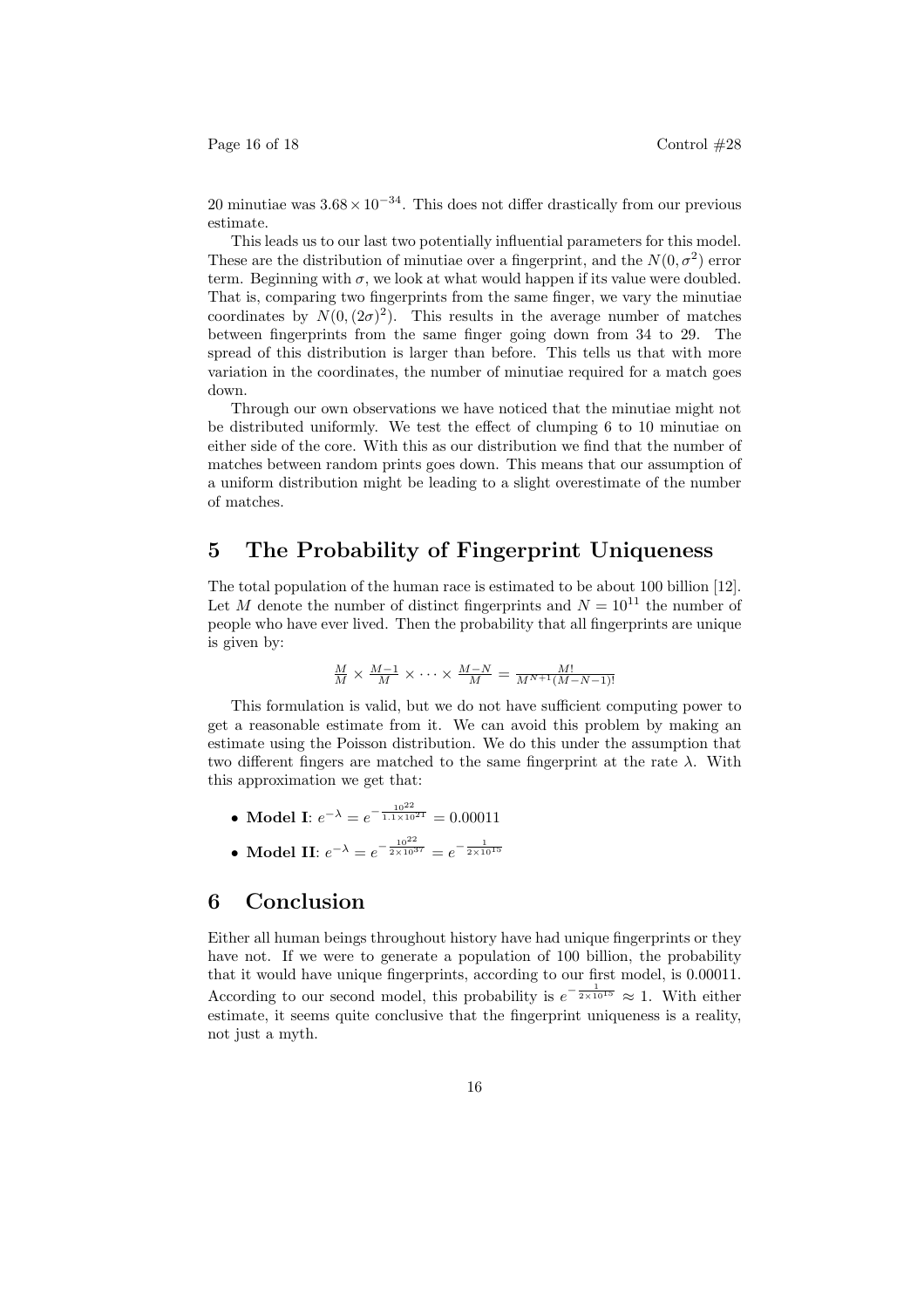Page 16 of 18 Control  $\#28$ 

20 minutiae was  $3.68 \times 10^{-34}$ . This does not differ drastically from our previous estimate.

This leads us to our last two potentially influential parameters for this model. These are the distribution of minutiae over a fingerprint, and the  $N(0, \sigma^2)$  error term. Beginning with  $\sigma$ , we look at what would happen if its value were doubled. That is, comparing two fingerprints from the same finger, we vary the minutiae coordinates by  $N(0, (2\sigma)^2)$ . This results in the average number of matches between fingerprints from the same finger going down from 34 to 29. The spread of this distribution is larger than before. This tells us that with more variation in the coordinates, the number of minutiae required for a match goes down.

Through our own observations we have noticed that the minutiae might not be distributed uniformly. We test the effect of clumping 6 to 10 minutiae on either side of the core. With this as our distribution we find that the number of matches between random prints goes down. This means that our assumption of a uniform distribution might be leading to a slight overestimate of the number of matches.

## 5 The Probability of Fingerprint Uniqueness

The total population of the human race is estimated to be about 100 billion [12]. Let M denote the number of distinct fingerprints and  $N = 10^{11}$  the number of people who have ever lived. Then the probability that all fingerprints are unique is given by:

$$
\frac{M}{M} \times \frac{M-1}{M} \times \cdots \times \frac{M-N}{M} = \frac{M!}{M^{N+1}(M-N-1)!}
$$

This formulation is valid, but we do not have sufficient computing power to get a reasonable estimate from it. We can avoid this problem by making an estimate using the Poisson distribution. We do this under the assumption that two different fingers are matched to the same fingerprint at the rate  $\lambda$ . With this approximation we get that:

- Model I:  $e^{-\lambda} = e^{-\frac{10^{22}}{1.1 \times 10^{21}}} = 0.00011$
- Model II:  $e^{-\lambda} = e^{-\frac{10^{22}}{2 \times 10^{37}}} = e^{-\frac{1}{2 \times 10^{15}}}$

## 6 Conclusion

Either all human beings throughout history have had unique fingerprints or they have not. If we were to generate a population of 100 billion, the probability that it would have unique fingerprints, according to our first model, is 0.00011. According to our second model, this probability is  $e^{-\frac{1}{2\times 10^{15}}}\approx 1$ . With either estimate, it seems quite conclusive that the fingerprint uniqueness is a reality, not just a myth.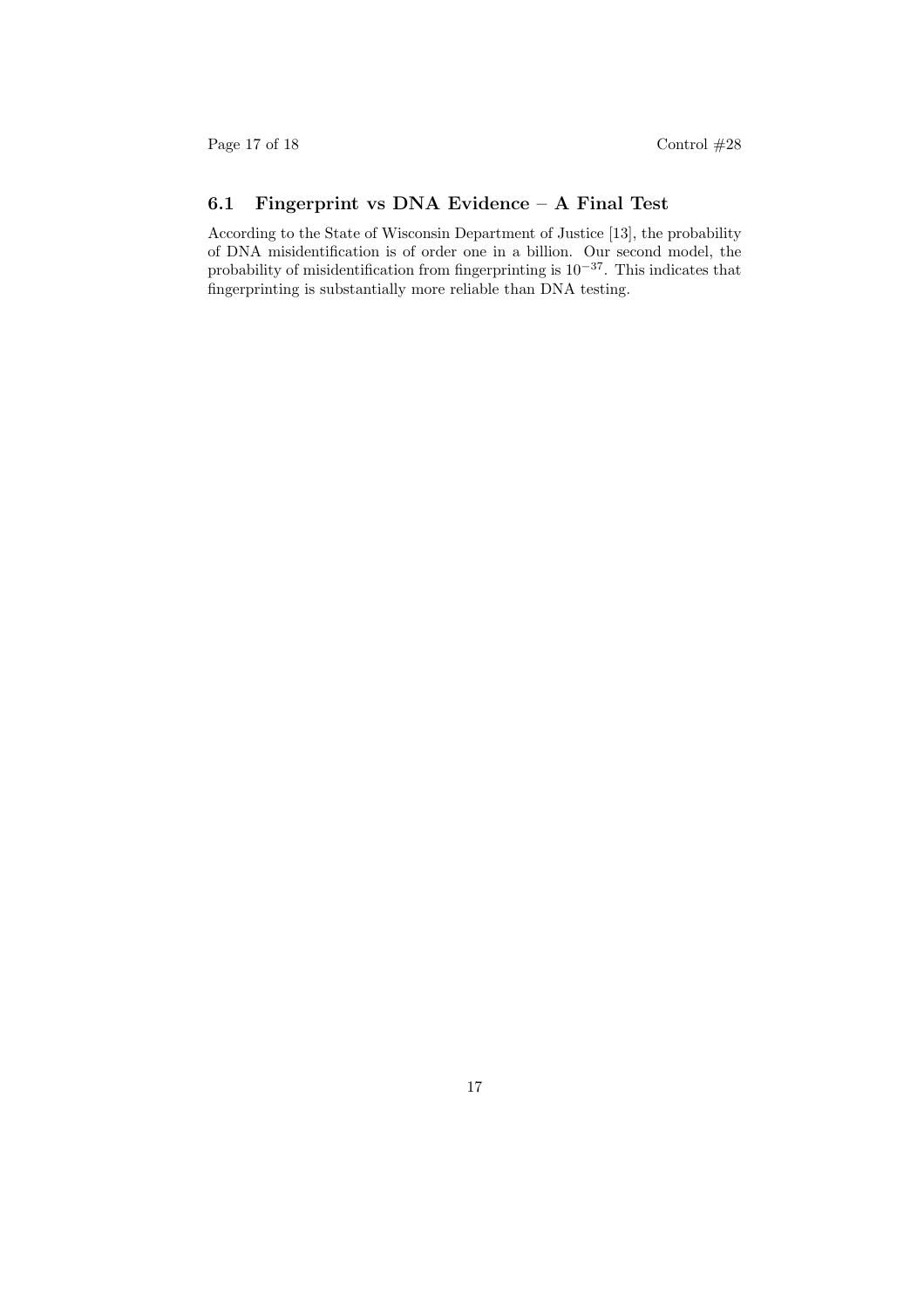# 6.1 Fingerprint vs DNA Evidence – A Final Test

According to the State of Wisconsin Department of Justice [13], the probability of DNA misidentification is of order one in a billion. Our second model, the probability of misidentification from fingerprinting is  $10^{-37}$ . This indicates that fingerprinting is substantially more reliable than DNA testing.